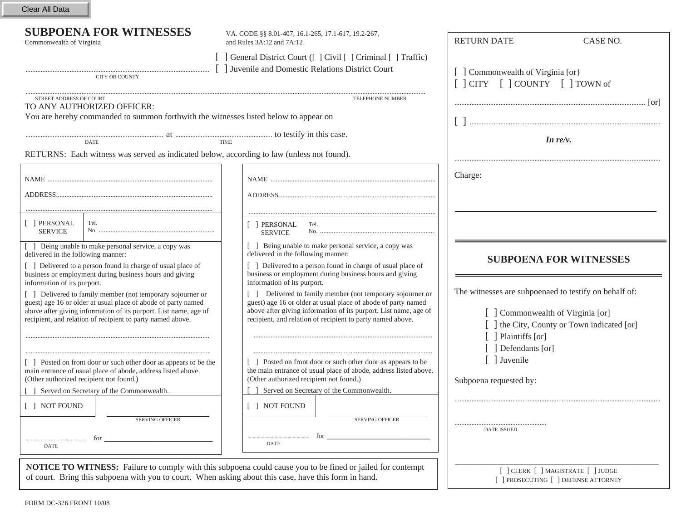Clear All Data

STREET ADDRESS OF COURT

 VA. CODE §§ 8.01-407, 16.1-265, 17.1-617, 19.2-267, Commonwealth of Virginia and Rules 3A:12 and 7A:12

> [ ] General District Court ([ ] Civil [ ] Criminal [ ] Traffic) [ ] Juvenile and Domestic Relations District Court

CITY OR COUNTY

TELEPHONE NUMBER

RETURN DATE

[ ] Commonwealth of Virginia [or]

[ ] CITY [ ] COUNTY [ ] TOWN of

................................................................................................................ [or] [ ] ................................................................................................................

*In re/v.*

.........................................................................................................................

CASE NO.

You are hereby commanded to summon forthwith the witnesses listed below to appear on

TO ANY AUTHORIZED OFFICER:

................................................................................. at ......................................................... to testify in this case. DATE TIME

RETURNS: Each witness was served as indicated below, according to law (unless not found).

|                                                                                                                                                                                                                                                                                              |                                                                                                                                                                                                                                                                                          | Charge:                                                                                                                                              |
|----------------------------------------------------------------------------------------------------------------------------------------------------------------------------------------------------------------------------------------------------------------------------------------------|------------------------------------------------------------------------------------------------------------------------------------------------------------------------------------------------------------------------------------------------------------------------------------------|------------------------------------------------------------------------------------------------------------------------------------------------------|
| [ ] PERSONAL<br>Tel.<br><b>SERVICE</b>                                                                                                                                                                                                                                                       | PERSONAL<br>Tel.<br><b>SERVICE</b>                                                                                                                                                                                                                                                       |                                                                                                                                                      |
| [ ] Being unable to make personal service, a copy was<br>delivered in the following manner:<br>[ ] Delivered to a person found in charge of usual place of<br>business or employment during business hours and giving                                                                        | Being unable to make personal service, a copy was<br>delivered in the following manner:<br>[] Delivered to a person found in charge of usual place of<br>business or employment during business hours and giving                                                                         | <b>SUBPOENA FOR WITNESSES</b>                                                                                                                        |
| information of its purport.<br>[ ] Delivered to family member (not temporary sojourner or<br>guest) age 16 or older at usual place of abode of party named<br>above after giving information of its purport. List name, age of<br>recipient, and relation of recipient to party named above. | information of its purport.<br>Delivered to family member (not temporary sojourner or<br>guest) age 16 or older at usual place of abode of party named<br>above after giving information of its purport. List name, age of<br>recipient, and relation of recipient to party named above. | The witnesses are subpoenaed to testify on behalf of:<br>Commonwealth of Virginia [or]<br>the City, County or Town indicated [or]<br>Plaintiffs [or] |
| [] Posted on front door or such other door as appears to be the<br>main entrance of usual place of abode, address listed above.<br>(Other authorized recipient not found.)<br>Served on Secretary of the Commonwealth.                                                                       | Posted on front door or such other door as appears to be<br>the main entrance of usual place of abode, address listed above.<br>(Other authorized recipient not found.)<br>Served on Secretary of the Commonwealth.                                                                      | Defendants [or]<br>Juvenile<br>Subpoena requested by:                                                                                                |
| [ ] NOT FOUND<br><b>SERVING OFFICER</b><br>for<br><b>DATE</b>                                                                                                                                                                                                                                | [ ] NOT FOUND<br><b>SERVING OFFICER</b><br>for<br><b>DATE</b>                                                                                                                                                                                                                            | <b>DATE ISSUED</b>                                                                                                                                   |
| <b>NOTICE TO WITNESS:</b> Failure to comply with this subpoena could cause you to be fined or jailed for contempt<br>of court. Bring this subpoena with you to court. When asking about this case, have this form in hand.                                                                   |                                                                                                                                                                                                                                                                                          | [ ] CLERK [ ] MAGISTRATE [ ] JUDGE<br>] PROSECUTING [ ] DEFENSE ATTORNEY                                                                             |